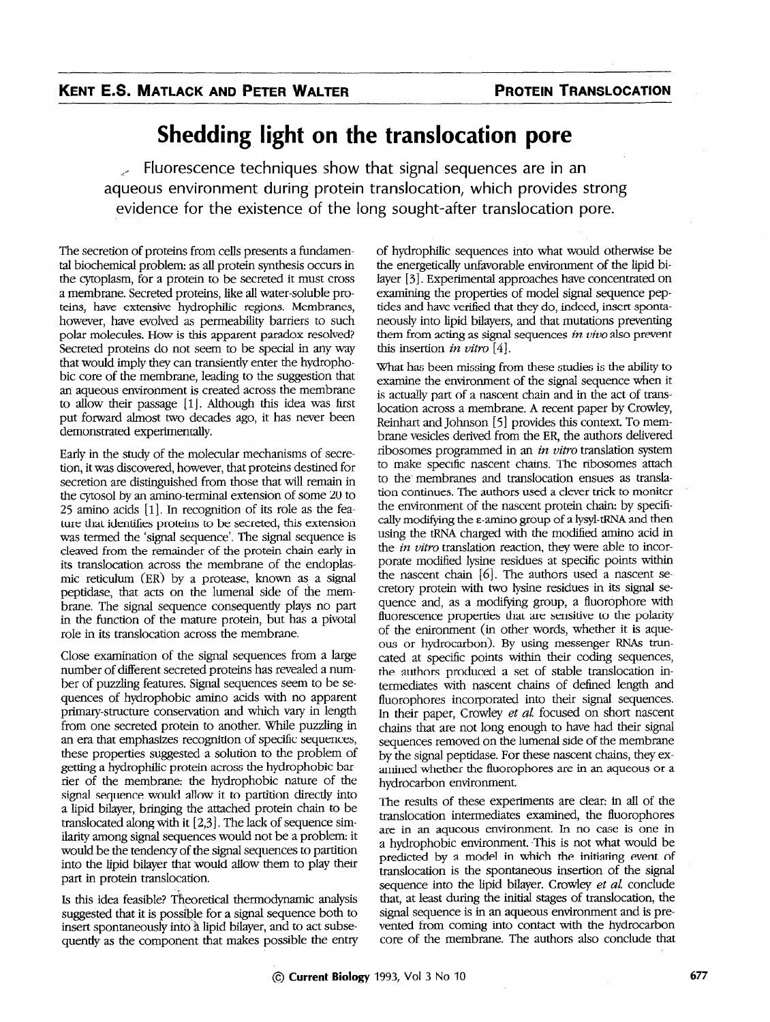## Shedding light on the translocation pore

 $\ge$  Fluorescence techniques show that signal sequences are in an aqueous environment during protein translocation, which provides strong evidence for the existence of the long sought-after translocation pore.

The secretion of proteins from cells presents a fundamental biochemical problem: as all protein synthesis occurs in the cytoplasm, for a protein to be secreted it must cross a membrane. Secreted proteins, like all water-soluble proteins, have extensive hydrophilic regions. Membranes, however, have evolved as permeability barriers to such polar molecules. How is this apparent paradox resolved? Secreted proteins do not seem to be special in any way that would imply they can transiently enter the hydrophobic core of the membrane, leading to the suggestion that an aqueous environment is created across the membrane to allow their passage [1]. Although this idea was first put forward almost two decades ago, it has never been demonstrated experimentally.

Early in the study of the molecular mechanisms of secretion, it was discovered, however, that proteins destined for secretion are distinguished from those that will remain in the cytosol by an amino-terminal extension of some 20 to 25 amino acids [l]. In recognition of its role as the feature that identifies proteins to be secreted, this extension was termed the 'signal sequence'. The signal sequence is cleaved from the remainder of the protein chain early in its translocation across the membrane of the endoplasmic reticulum (ER) by a protease, known as a signal peptidase, that acts on the lumenal side of the membrane. The signal sequence consequently plays no part in the function of the mature protein, but has a pivotal role in its translocation across the membrane.

Close examination of the signal sequences from a large number of different secreted proteins has revealed a number of puzzling features. Signal sequences seem to be sequences of hydrophobic amino acids with no apparent primary-structure conservation and which vary in length from one secreted protein to another. While puzzling in an era that emphasizes recognition of specific sequences, these properties suggested a solution to the problem of getting a hydrophilic protein across the hydrophobic barrier of the membrane: the hydrophobic nature of the signal sequence would allow it to partition directly into a lipid bilayer, bringing the attached protein chain to be translocated along with it  $[2,3]$ . The lack of sequence similarity among signal sequences would not be a problem: it would be the tendency of the signal sequences to partition into the lipid bilayer that would allow them to play their part in protein translocation.

Is this idea feasible? Theoretical thermodynamic analysis suggested that it is possible for a signal sequence both to insert spontaneously into a lipid bilayer, and to act subsequently as the component that makes possible the entry of hydrophilic sequences into what would otherwise be the energetically unfavorable environment of the lipid bilayer [3]. Experimental approaches have concentrated on examining the properties of model signal sequence peptides and have verified that they do, indeed, insert spontaneously into lipid bilayers, and that mutations preventing them from acting as signal sequences in  $viv$ o also prevent this insertion in vitro [4].

What has been missing from these studies is the ability to examine the environment of the signal sequence when it is actually part of a nascent chain and in the act of translocation across a membrane. A recent paper by Crowley, Reinhart and Johnson [5] provides this context. To membrane vesicles derived from the ER, the authors delivered ribosomes programmed in an in vitro translation system to make specific nascent chains. The ribosomes attach to the' membranes and translocation ensues as translation continues. The authors used a clever trick to moniter the environment of the nascent protein chain: by specifically modifying the  $\varepsilon$ -amino group of a lysyl-tRNA and then using the tRNA charged with the modified amino acid in the *in vitro* translation reaction, they were able to incorporate modified lysine residues at specific points within the nascent chain [6]. The authors used a nascent secretory protein with two lysine residues in its signal sequence and, as a modifying group, a fluorophore with fluorescence properties that are sensitive to the polarity of the enironment (in other words, whether it is aqueous or hydrocarbon). By using messenger RNAs truncated at specific points within their coding sequences, the authors produced a set of stable translocation intermediates with nascent chains of defined length and fluorophores incorporated into their signal sequences. In their paper, Crowley et al. focused on short nascent chains that are not long enough to have had their signal sequences removed on the lumenal side of the membrane by the signal peptidase. For these nascent chains, they examined whether the fluorophores are in an aqueous or a hydrocarbon environment.

The results of these experiments are clear: in all of the translocation intermediates examined, the fluorophores are in an aqueous environment. In no case is one in a hydrophobic environment. This is not what would be predicted by a model in which the initiating event of translocation is the spontaneous insertion of the signal sequence into the lipid bilayer. Crowley et al. conclude that, at least during the initial stages of translocation, the signal sequence is in an aqueous environment and is prevented from coming into contact with the hydrocarbon core of the membrane. The authors also conclude that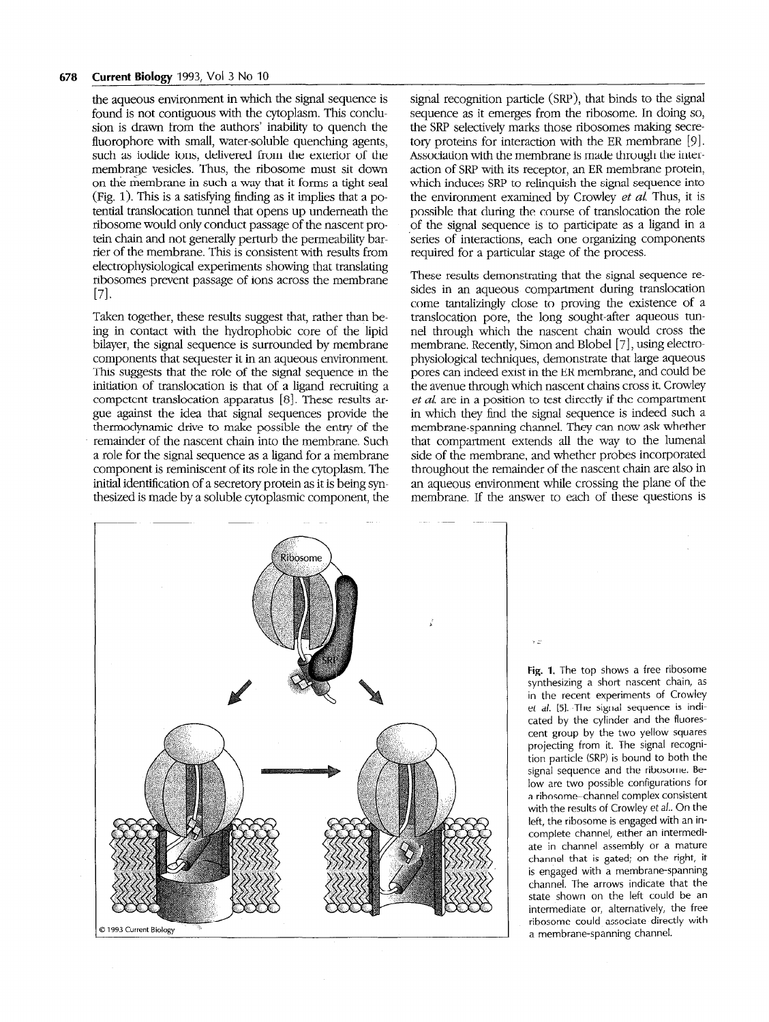the aqueous environment in which the signal sequence is found is not contiguous with the cytoplasm. This conclusion is drawn from the authors' inability to quench the fluorophore with small, water-soluble quenching agents, such as iodide ions, delivered from the exterior of the membrane vesicles. Thus, the ribosome must sit down on the membrane in such a way that it forms a tight seal (Fig. 1). This is a satisfying finding as it implies that a potential translocation tunnel that opens up underneath the ribosome would only conduct passage of the nascent protein chain and not generally perturb the permeability barrier of the membrane. This is consistent with results from electrophysiological experiments showing that translating ribosomes prevent passage of ions across the membrane 171.

Taken together, these results suggest that, rather than being in contact with the hydrophobic core of the lipid bilayer, the signal sequence is surrounded by rnembrane components that sequester it in an aqueous environment. This suggests that the role of the signal sequence in the initiation of translocation is that of a ligand recruiting a competent translocation apparatus [8]. These results argue against the idea that signal sequences provide the thermodynamic drive to make possible the entry of the remainder of the nascent chain into the membrane. Such a role for the signal sequence as a ligand for a membrane component is reminiscent of its role in the cytoplasm. The initial identification of a secretory protein as it is being syrthesized is made by a soluble cytoplasmic component, the

signal recognition particle (SRP), that binds to the signal sequence as it emerges from the ribosome. In doing so, the SRP selectively marks those ribosomes making secretory proteins for interaction with the ER membrane [9]. Association with the membrane is made through the interaction of SRP with its receptor, an ER membrane protein, which induces SRP to relinquish the signal sequence into the environment examined by Crowley *et al.* Thus, it is possible that during the course of translocation the role of the signal sequence is to participate as a ligand in a 'series of interactions, each one organizing components required for a particular stage of the process.

These results demonstrating that the signal sequence resides in an aqueous compartment during translocation come tantalizingly close to proving the existence of a translocation pore, the long sought-after aqueous tunnel through which the nascent chain would cross the membrane. Recently, Simon and Blobel [7], using electrophysiological techniques, demonstrate that large aqueous pores can indeed exist in the ER membrane, and could be the avenue through which nascent chains cross it. Crowley et al. are in a position to test directly if the compartment in which they find the signal sequence is indeed such a membrane-spanning channel. They can now ask whether that compartment extends all the way to the lumenal side of the membrane, and whether probes incorporated throughout the remainder of the nascent chain are also in an aqueous environment while crossing the plane of the membrane. If the answer to each of these questions is

via



Fig. 1. The top shows a free ribosome synthesizing a short nascent chain, as in the recent experiments of Crowley et al. 151. The signal sequence is indicated by the cylinder and the fluorescent group by the two yellow squares projecting from it. The signal recognition particle (SRP) is bound to both the signal sequence and the ribosome. Below are two possible configurations for a ribosome-channel complex consistent with the results of Crowley et al.. On the left, the ribosome is engaged with an incomplete channel, either an intermediate in channel assembly or a mature channel that is gated; on the right, it is engaged with a membrane-spanning channel. The arrows indicate that the state shown on the left could be an intermediate or, alternatively, the free ribosome could associate directly with a membrane-spanning channel.